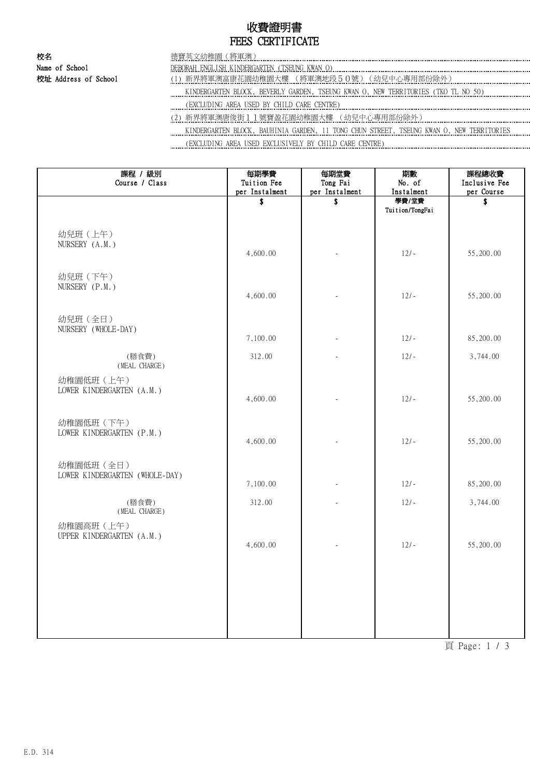# 收費證明書 FEES CERTIFICATE

| 校名                   |                                                                                          |
|----------------------|------------------------------------------------------------------------------------------|
| Name of School       | <b>ENGLISH KINDERGARTEN (</b><br>(TSEUNG KWAN O)<br>DERORAH.                             |
| 校址 Address of School | 新界將軍澳富康花園幼稚園大樓 (將軍澳地段50號)(幼兒中心專用部份除外)                                                    |
|                      | KINDERGARTEN BLOCK, BEVERLY GARDEN, TSEUNG KWAN O, NEW TERRITORIES (TKO TL NO 50)        |
|                      | (EXCLUDING AREA USED BY CHILD CARE CENTRE)                                               |
|                      | 新界將軍澳唐俊街11號寶盈花園幼稚園大樓 (幼兒中心專用部份除外)                                                        |
|                      | KINDERGARTEN BLOCK, BAUHINIA GARDEN, 11 TONG CHUN STREET, TSEUNG KWAN O, NEW TERRITORIES |
|                      |                                                                                          |

(EXCLUDING AREA USED EXCLUSIVELY BY CHILD CARE CENTRE)

| 課程 / 級別                        | 每期學費                          | 每期堂費                       | 期數                  | 課程總收費            |
|--------------------------------|-------------------------------|----------------------------|---------------------|------------------|
| Course / Class                 | Tuition Fee<br>per Instalment | Tong Fai<br>per Instalment | No. of              | Inclusive Fee    |
|                                | \$                            | \$                         | Instalment<br>學費/堂費 | per Course<br>\$ |
|                                |                               |                            | Tuition/TongFai     |                  |
|                                |                               |                            |                     |                  |
| 幼兒班 (上午)                       |                               |                            |                     |                  |
| NURSERY (A.M.)                 |                               |                            |                     |                  |
|                                | 4,600.00                      |                            | $12/-$              | 55,200.00        |
|                                |                               |                            |                     |                  |
| 幼兒班 (下午)                       |                               |                            |                     |                  |
| NURSERY (P.M.)                 | 4,600.00                      |                            | $12/-$              | 55,200.00        |
|                                |                               |                            |                     |                  |
| 幼兒班 (全日)                       |                               |                            |                     |                  |
| NURSERY (WHOLE-DAY)            |                               |                            |                     |                  |
|                                | 7,100.00                      |                            | $12/-$              | 85,200.00        |
| (膳食費)                          | 312.00                        |                            | $12/-$              | 3,744.00         |
| (MEAL CHARGE)                  |                               |                            |                     |                  |
| 幼稚園低班 (上午)                     |                               |                            |                     |                  |
| LOWER KINDERGARTEN (A.M.)      |                               |                            |                     |                  |
|                                | 4,600.00                      |                            | $12/-$              | 55,200.00        |
|                                |                               |                            |                     |                  |
| 幼稚園低班 (下午)                     |                               |                            |                     |                  |
| LOWER KINDERGARTEN (P.M.)      | 4,600.00                      |                            | $12/-$              | 55,200.00        |
|                                |                               |                            |                     |                  |
| 幼稚園低班 (全日)                     |                               |                            |                     |                  |
| LOWER KINDERGARTEN (WHOLE-DAY) |                               |                            |                     |                  |
|                                | 7,100.00                      |                            | $12/-$              | 85,200.00        |
| (膳食費)                          | 312.00                        |                            | $12/-$              | 3,744.00         |
| (MEAL CHARGE)                  |                               |                            |                     |                  |
| 幼稚園高班 (上午)                     |                               |                            |                     |                  |
| UPPER KINDERGARTEN (A.M.)      |                               |                            |                     |                  |
|                                | 4,600.00                      |                            | $12/-$              | 55,200.00        |
|                                |                               |                            |                     |                  |
|                                |                               |                            |                     |                  |
|                                |                               |                            |                     |                  |
|                                |                               |                            |                     |                  |
|                                |                               |                            |                     |                  |
|                                |                               |                            |                     |                  |
|                                |                               |                            |                     |                  |

頁 Page: 1 / 3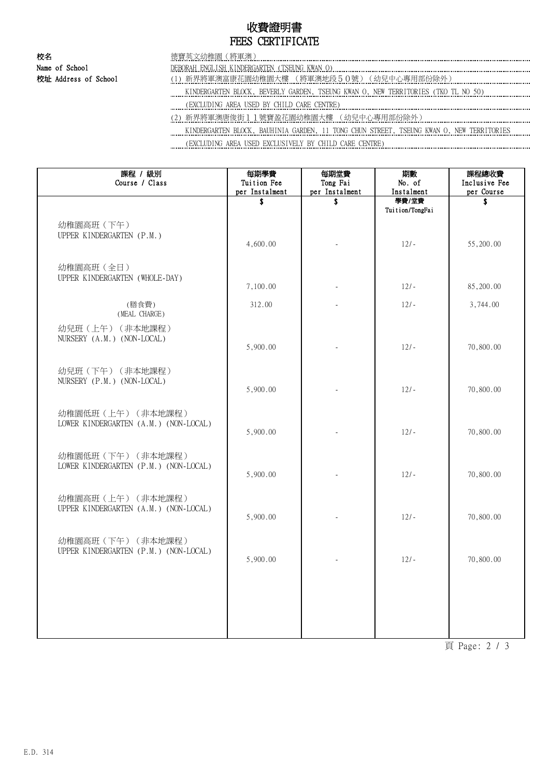## 收費證明書 FEES CERTIFICATE

| 校名                   | 〔將軍澳〕<br>德寶英文幼稚園(                                                                             |
|----------------------|-----------------------------------------------------------------------------------------------|
| Name of School       | DEBORAH ENGLISH KINDERGARTEN (TSEUNG KWAN O)                                                  |
| 校址 Address of School | (1) 新界將軍澳富康花園幼稚園大樓 (將軍澳地段50號) (幼兒中心專用部份除外)                                                    |
|                      | KINDERGARTEN BLOCK, BEVERLY GARDEN, TSEUNG KWAN O, NEW TERRITORIES (TKO TL NO 50)             |
|                      | (EXCLUDING AREA USED BY CHILD CARE CENTRE)                                                    |
|                      | (2)新界將軍澳唐俊街11號寶盈花園幼稚園大樓 (幼兒中心專用部份除外)                                                          |
|                      | VINDEDCARTEN DIACY – DAULUNIA CADDEN – 11 TANC CULIN CEREET – TOEUNG VWAN A – NEW TERRITORIEC |

 KINDERGARTEN BLOCK, BAUHINIA GARDEN, 11 TONG CHUN STREET, TSEUNG KWAN O, NEW TERRITORIES (EXCLUDING AREA USED EXCLUSIVELY BY CHILD CARE CENTRE)

| 課程 / 級別<br>Course / Class                                   | 每期學費<br>Tuition Fee<br>per Instalment | 每期堂費<br>Tong Fai<br>per Instalment | 期數<br>No. of<br>Instalment | 課程總收費<br>Inclusive Fee<br>per Course |
|-------------------------------------------------------------|---------------------------------------|------------------------------------|----------------------------|--------------------------------------|
|                                                             | \$                                    | S                                  | 學費/堂費                      | S                                    |
| 幼稚園高班 (下午)<br>UPPER KINDERGARTEN (P.M.)                     | 4,600.00                              |                                    | Tuition/TongFai<br>$12/-$  | 55,200.00                            |
| 幼稚園高班 (全日)<br>UPPER KINDERGARTEN (WHOLE-DAY)                | 7,100.00                              |                                    | $12/-$                     | 85,200.00                            |
| (膳食費)<br>(MEAL CHARGE)                                      | 312.00                                |                                    | $12/-$                     | 3,744.00                             |
| 幼兒班(上午)(非本地課程)<br>NURSERY (A.M.) (NON-LOCAL)                | 5,900.00                              |                                    | $12/-$                     | 70,800.00                            |
| 幼兒班(下午)(非本地課程)<br>NURSERY (P.M.) (NON-LOCAL)                | 5,900.00                              |                                    | $12/-$                     | 70,800.00                            |
| 幼稚園低班(上午)(非本地課程)<br>LOWER KINDERGARTEN (A.M.) (NON-LOCAL)   | 5,900.00                              |                                    | $12/-$                     | 70,800.00                            |
| 幼稚園低班 (下午) (非本地課程)<br>LOWER KINDERGARTEN (P.M.) (NON-LOCAL) | 5,900.00                              |                                    | $12/-$                     | 70,800.00                            |
| 幼稚園高班 (上午) (非本地課程)<br>UPPER KINDERGARTEN (A.M.) (NON-LOCAL) | 5,900.00                              |                                    | $12/-$                     | 70,800.00                            |
| 幼稚園高班 (下午) (非本地課程)<br>UPPER KINDERGARTEN (P.M.) (NON-LOCAL) | 5,900.00                              |                                    | $12/-$                     | 70,800.00                            |
|                                                             |                                       |                                    |                            |                                      |
|                                                             |                                       |                                    |                            |                                      |

頁 Page: 2 / 3